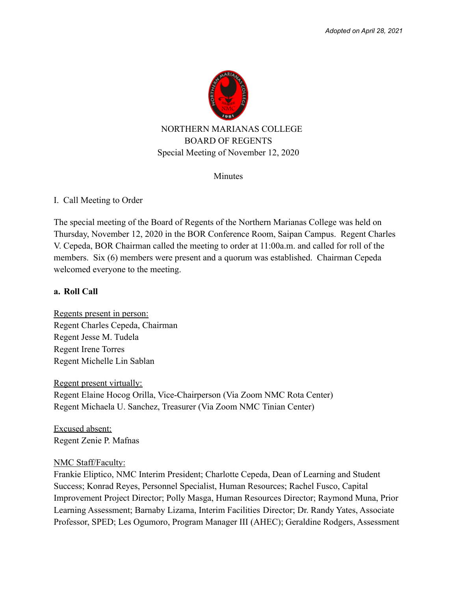

Minutes

### I. Call Meeting to Order

The special meeting of the Board of Regents of the Northern Marianas College was held on Thursday, November 12, 2020 in the BOR Conference Room, Saipan Campus. Regent Charles V. Cepeda, BOR Chairman called the meeting to order at 11:00a.m. and called for roll of the members. Six (6) members were present and a quorum was established. Chairman Cepeda welcomed everyone to the meeting.

#### **a. Roll Call**

Regents present in person: Regent Charles Cepeda, Chairman Regent Jesse M. Tudela Regent Irene Torres Regent Michelle Lin Sablan

Regent present virtually: Regent Elaine Hocog Orilla, Vice-Chairperson (Via Zoom NMC Rota Center) Regent Michaela U. Sanchez, Treasurer (Via Zoom NMC Tinian Center)

Excused absent: Regent Zenie P. Mafnas

#### NMC Staff/Faculty:

Frankie Eliptico, NMC Interim President; Charlotte Cepeda, Dean of Learning and Student Success; Konrad Reyes, Personnel Specialist, Human Resources; Rachel Fusco, Capital Improvement Project Director; Polly Masga, Human Resources Director; Raymond Muna, Prior Learning Assessment; Barnaby Lizama, Interim Facilities Director; Dr. Randy Yates, Associate Professor, SPED; Les Ogumoro, Program Manager III (AHEC); Geraldine Rodgers, Assessment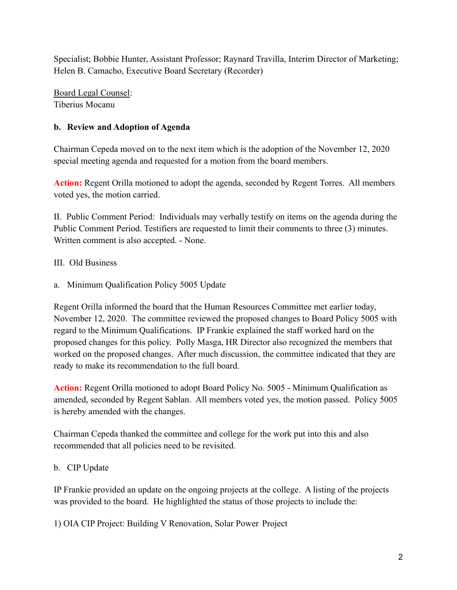Specialist; Bobbie Hunter, Assistant Professor; Raynard Travilla, Interim Director of Marketing; Helen B. Camacho, Executive Board Secretary (Recorder)

Board Legal Counsel: Tiberius Mocanu

# **b. Review and Adoption of Agenda**

Chairman Cepeda moved on to the next item which is the adoption of the November 12, 2020 special meeting agenda and requested for a motion from the board members.

**Action:** Regent Orilla motioned to adopt the agenda, seconded by Regent Torres. All members voted yes, the motion carried.

II. Public Comment Period: Individuals may verbally testify on items on the agenda during the Public Comment Period. Testifiers are requested to limit their comments to three (3) minutes. Written comment is also accepted. - None.

# III. Old Business

a. Minimum Qualification Policy 5005 Update

Regent Orilla informed the board that the Human Resources Committee met earlier today, November 12, 2020. The committee reviewed the proposed changes to Board Policy 5005 with regard to the Minimum Qualifications. IP Frankie explained the staff worked hard on the proposed changes for this policy. Polly Masga, HR Director also recognized the members that worked on the proposed changes. After much discussion, the committee indicated that they are ready to make its recommendation to the full board.

**Action:** Regent Orilla motioned to adopt Board Policy No. 5005 - Minimum Qualification as amended, seconded by Regent Sablan. All members voted yes, the motion passed. Policy 5005 is hereby amended with the changes.

Chairman Cepeda thanked the committee and college for the work put into this and also recommended that all policies need to be revisited.

## b. CIP Update

IP Frankie provided an update on the ongoing projects at the college. A listing of the projects was provided to the board. He highlighted the status of those projects to include the:

1) OIA CIP Project: Building V Renovation, Solar Power Project